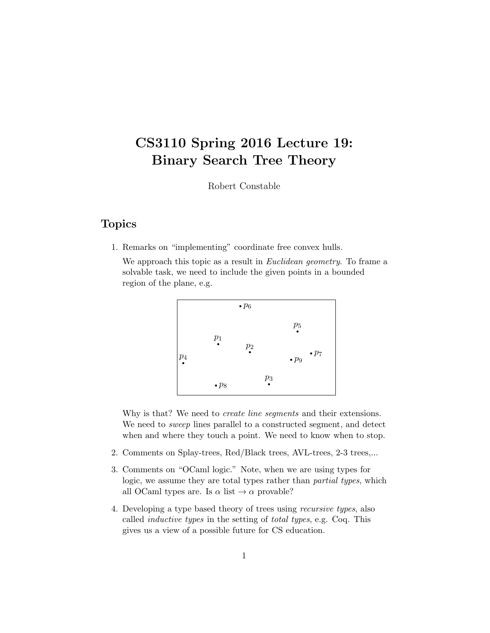# CS3110 Spring 2016 Lecture 19: Binary Search Tree Theory

Robert Constable

### Topics

1. Remarks on "implementing" coordinate free convex hulls.

We approach this topic as a result in *Euclidean geometry*. To frame a solvable task, we need to include the given points in a bounded region of the plane, e.g.



Why is that? We need to *create line segments* and their extensions. We need to *sweep* lines parallel to a constructed segment, and detect when and where they touch a point. We need to know when to stop.

- 2. Comments on Splay-trees, Red/Black trees, AVL-trees, 2-3 trees,...
- 3. Comments on "OCaml logic." Note, when we are using types for logic, we assume they are total types rather than *partial types*, which all OCaml types are. Is  $\alpha$  list  $\rightarrow \alpha$  provable?
- 4. Developing a type based theory of trees using recursive types, also called inductive types in the setting of total types, e.g. Coq. This gives us a view of a possible future for CS education.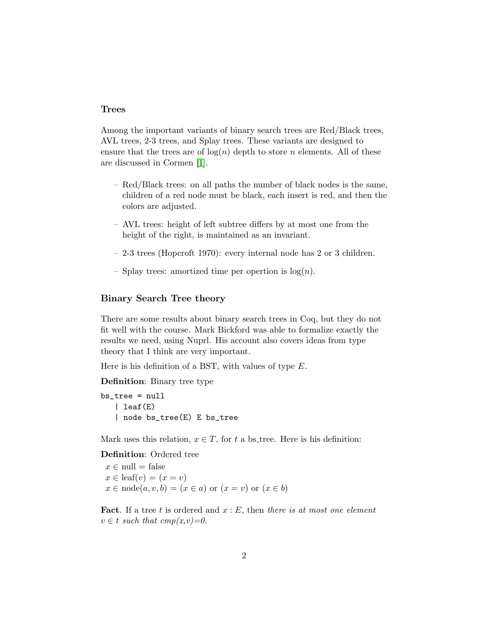### Trees

Among the important variants of binary search trees are Red/Black trees, AVL trees, 2-3 trees, and Splay trees. These variants are designed to ensure that the trees are of  $log(n)$  depth to store n elements. All of these are discussed in Cormen [\[1\]](#page-7-0).

- Red/Black trees: on all paths the number of black nodes is the same, children of a red node must be black, each insert is red, and then the colors are adjusted.
- AVL trees: height of left subtree differs by at most one from the height of the right, is maintained as an invariant.
- 2-3 trees (Hopcroft 1970): every internal node has 2 or 3 children.
- Splay trees: amortized time per opertion is  $log(n)$ .

### Binary Search Tree theory

There are some results about binary search trees in Coq, but they do not fit well with the course. Mark Bickford was able to formalize exactly the results we need, using Nuprl. His account also covers ideas from type theory that I think are very important.

Here is his definition of a BST, with values of type  $E$ .

Definition: Binary tree type

bs\_tree = null | leaf(E) | node bs\_tree(E) E bs\_tree

Mark uses this relation,  $x \in T$ , for t a bs\_tree. Here is his definition:

Definition: Ordered tree

 $x \in \text{null} = \text{false}$  $x \in$  leaf(v) =  $(x = v)$  $x \in \text{node}(a, v, b) = (x \in a) \text{ or } (x = v) \text{ or } (x \in b)$ 

**Fact.** If a tree t is ordered and  $x : E$ , then there is at most one element  $v \in t$  such that  $cmp(x,v)=0$ .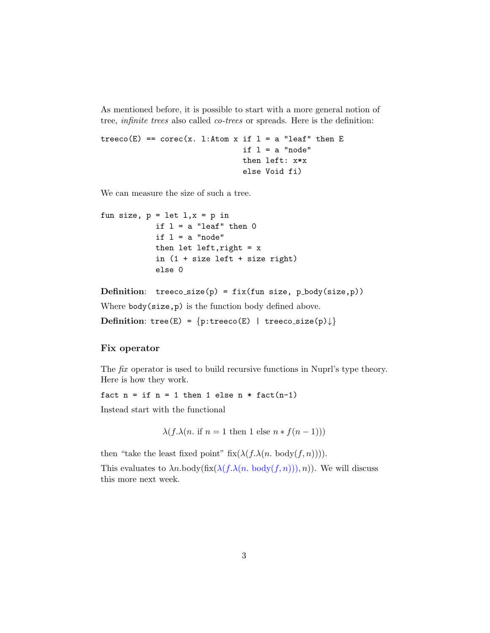As mentioned before, it is possible to start with a more general notion of tree, infinite trees also called co-trees or spreads. Here is the definition:

```
treeco(E) == corec(x. l:Atom x if l = a "leaf" then E
                   if l = a "node"
                   then left: x*x
                   else Void fi)
```
We can measure the size of such a tree.

```
fun size, p = let 1, x = p in
if l = a "leaf" then 0if l = a "node"
then let left, right = x
in (1 + size left + size right)
else 0
```

```
Definition: treeco_size(p) = fix(fun size, p_body(size,p))
```
Where body(size,p) is the function body defined above.

Definition: tree(E) =  $\{p:treeco(E) | treeco_size(p)\}\$ 

### Fix operator

The fix operator is used to build recursive functions in Nuprl's type theory. Here is how they work.

fact  $n = if n = 1 then 1 else n * fact(n-1)$ 

Instead start with the functional

 $\lambda(f.\lambda(n \text{ if } n=1 \text{ then } 1 \text{ else } n * f(n-1)))$ 

then "take the least fixed point" fix( $\lambda(f.\lambda(n.\text{body}(f,n)))$ ).

This evaluates to  $\lambda n. \text{body}(\text{fix}(\lambda(f.\lambda(n.\text{body}(f,n))), n))$ . We will discuss this more next week.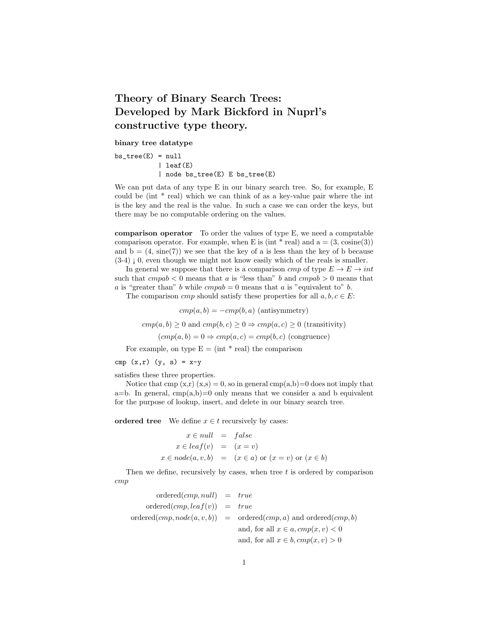### Theory of Binary Search Trees: Developed by Mark Bickford in Nuprl's constructive type theory.

binary tree datatype

 $bs\_tree(E) = null$ | leaf(E) | node bs\_tree(E) E bs\_tree(E)

We can put data of any type E in our binary search tree. So, for example, E could be (int \* real) which we can think of as a key-value pair where the int is the key and the real is the value. In such a case we can order the keys, but there may be no computable ordering on the values.

comparison operator To order the values of type E, we need a computable comparison operator. For example, when E is (int  $*$  real) and  $a = (3, \text{cosine}(3))$ and  $b = (4, \text{ sine}(7))$  we see that the key of a is less than the key of b because  $(3-4)$ ; 0, even though we might not know easily which of the reals is smaller.

In general we suppose that there is a comparison cmp of type  $E \to E \to int$ such that  $cmpab < 0$  means that a is "less than" b and  $cmpab > 0$  means that a is "greater than" b while  $cmpab = 0$  means that a is "equivalent to" b.

The comparison *cmp* should satisfy these properties for all  $a, b, c \in E$ :

 $cmp(a, b) = -cmp(b, a)$  (antisymmetry)

 $cmp(a, b) \ge 0$  and  $cmp(b, c) \ge 0 \Rightarrow comp(a, c) \ge 0$  (transitivity)

 $(cmp(a, b) = 0 \Rightarrow cmp(a, c) = cmp(b, c)$  (congruence)

For example, on type  $E = (int * real)$  the comparison

cmp  $(x, r)$   $(y, s) = x-y$ 

satisfies these three properties.

Notice that cmp  $(x,r)(x,s) = 0$ , so in general cmp $(a,b)=0$  does not imply that a=b. In general,  $cmp(a,b)=0$  only means that we consider a and b equivalent for the purpose of lookup, insert, and delete in our binary search tree.

ordered tree We define  $x \in t$  recursively by cases:

$$
x \in null = false
$$
  
\n
$$
x \in leaf(v) = (x = v)
$$
  
\n
$$
x \in node(a, v, b) = (x \in a) \text{ or } (x = v) \text{ or } (x \in b)
$$

Then we define, recursively by cases, when tree  $t$  is ordered by comparison cmp

| $ordered(cmp, null) = true$    |                                                                             |
|--------------------------------|-----------------------------------------------------------------------------|
| $ordered(cmp, leaf(v)) = true$ |                                                                             |
|                                | $ordered(cmp, node(a, v, b)) = ordered(cmp, a) \text{ and ordered}(cmp, b)$ |
|                                | and, for all $x \in a$ , $cmp(x, v) < 0$                                    |
|                                | and, for all $x \in b$ , $cmp(x, v) > 0$                                    |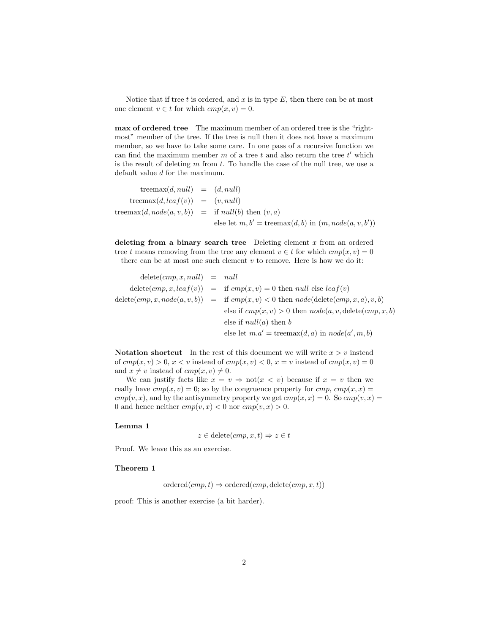Notice that if tree  $t$  is ordered, and  $x$  is in type  $E$ , then there can be at most one element  $v \in t$  for which  $cmp(x, v) = 0$ .

max of ordered tree The maximum member of an ordered tree is the "rightmost" member of the tree. If the tree is null then it does not have a maximum member, so we have to take some care. In one pass of a recursive function we can find the maximum member  $m$  of a tree  $t$  and also return the tree  $t'$  which is the result of deleting  $m$  from  $t$ . To handle the case of the null tree, we use a default value d for the maximum.

treemax $(d, null) = (d, null)$ treemax $(d, leaf(v)) = (v, null)$ treemax $(d, node(a, v, b)) =$  if  $null(b)$  then  $(v, a)$ else let  $m, b' = \text{treemax}(d, b)$  in  $(m, node(a, v, b'))$ 

deleting from a binary search tree Deleting element  $x$  from an ordered tree t means removing from the tree any element  $v \in t$  for which  $cmp(x, v) = 0$ – there can be at most one such element  $v$  to remove. Here is how we do it:

| $delete(cmp, x, null) = null$ |                                                                                                                     |
|-------------------------------|---------------------------------------------------------------------------------------------------------------------|
|                               | $\text{delete}(cmp, x, leaf(v)) = \text{if }cmp(x, v) = 0 \text{ then } null \text{ else } leaf(v)$                 |
|                               | $\text{delete}(cmp, x, node(a, v, b)) = \text{if }cmp(x, v) < 0 \text{ then } node(\text{delete}(cmp, x, a), v, b)$ |
|                               | else if $cmp(x, v) > 0$ then $node(a, v, delete(cmp, x, b))$                                                        |
|                               | else if $null(a)$ then b                                                                                            |
|                               | else let $m.a'$ = treemax $(d, a)$ in $node(a', m, b)$                                                              |

Notation shortcut In the rest of this document we will write  $x > v$  instead of  $cmp(x, v) > 0, x < v$  instead of  $cmp(x, v) < 0, x = v$  instead of  $cmp(x, v) = 0$ and  $x \neq v$  instead of  $cmp(x, v) \neq 0$ .

We can justify facts like  $x = v \Rightarrow not(x < v)$  because if  $x = v$  then we really have  $cmp(x, v) = 0$ ; so by the congruence property for  $cmp$ ,  $cmp(x, x) =$  $cmp(v, x)$ , and by the antisymmetry property we get  $cmp(x, x) = 0$ . So  $cmp(v, x) =$ 0 and hence neither  $cmp(v, x) < 0$  nor  $cmp(v, x) > 0$ .

#### Lemma 1

 $z \in \text{delete}(cmp, x, t) \Rightarrow z \in t$ 

Proof. We leave this as an exercise.

#### Theorem 1

 $ordered(cmp, t) \Rightarrow ordered(cmp, delete(cmp, x, t))$ 

proof: This is another exercise (a bit harder).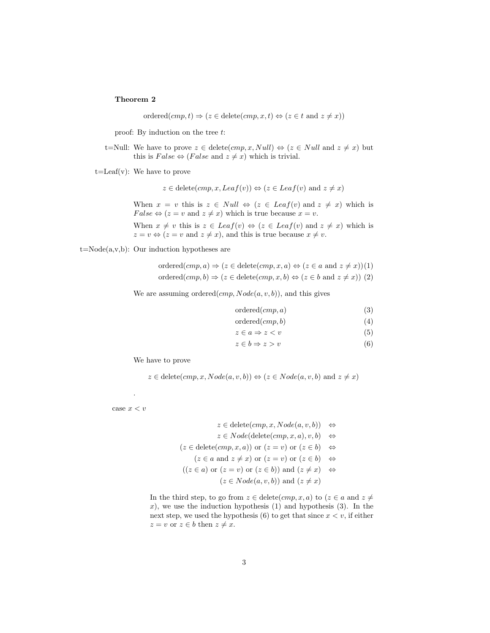#### Theorem 2

ordered $(cmp, t) \Rightarrow (z \in \text{delete}(cmp, x, t) \Leftrightarrow (z \in t \text{ and } z \neq x))$ 

proof: By induction on the tree  $t$ :

t=Null: We have to prove  $z \in \text{delete}(cmp, x, Null) \Leftrightarrow (z \in Null \text{ and } z \neq x)$  but this is  $False \Leftrightarrow (False \text{ and } z \neq x)$  which is trivial.

t=Leaf(v): We have to prove

$$
z \in \text{delete}(cmp, x, \text{Leaf}(v)) \Leftrightarrow (z \in \text{Leaf}(v) \text{ and } z \neq x)
$$

When  $x = v$  this is  $z \in Null \Leftrightarrow (z \in Leaf(v) \text{ and } z \neq x)$  which is  $False \Leftrightarrow (z = v \text{ and } z \neq x) \text{ which is true because } x = v.$ 

When  $x \neq v$  this is  $z \in$  Leaf $(v) \Leftrightarrow (z \in$  Leaf $(v)$  and  $z \neq x)$  which is  $z = v \Leftrightarrow (z = v \text{ and } z \neq x)$ , and this is true because  $x \neq v$ .

 $t=Node(a,v,b):$  Our induction hypotheses are

ordered $(cmp, a) \Rightarrow (z \in \text{delete}(cmp, x, a) \Leftrightarrow (z \in a \text{ and } z \neq x))(1)$ ordered $(cmp, b) \Rightarrow (z \in \text{delete}(cmp, x, b) \Leftrightarrow (z \in b \text{ and } z \neq x))$  (2)

We are assuming ordered $(cmp, Node(a, v, b))$ , and this gives

$$
ordered(cmp, a) \tag{3}
$$

$$
ordered(cmp, b) \tag{4}
$$

$$
z \in a \Rightarrow z < v \tag{5}
$$

$$
z \in b \Rightarrow z > v \tag{6}
$$

We have to prove

 $z \in \text{delete}(cmp, x, Node(a, v, b)) \Leftrightarrow (z \in Node(a, v, b) \text{ and } z \neq x)$ 

case  $x < v$ 

.

$$
z \in \text{delete}(cmp, x, Node(a, v, b)) \Leftrightarrow
$$
  
\n
$$
z \in Node(\text{delete}(cmp, x, a), v, b) \Leftrightarrow
$$
  
\n
$$
(z \in \text{delete}(cmp, x, a)) \text{ or } (z = v) \text{ or } (z \in b) \Leftrightarrow
$$
  
\n
$$
(z \in a \text{ and } z \neq x) \text{ or } (z = v) \text{ or } (z \in b) \Leftrightarrow
$$
  
\n
$$
((z \in a) \text{ or } (z = v) \text{ or } (z \in b)) \text{ and } (z \neq x) \Leftrightarrow
$$
  
\n
$$
(z \in Node(a, v, b)) \text{ and } (z \neq x)
$$

In the third step, to go from  $z \in \text{delete}(cmp, x, a)$  to  $(z \in a \text{ and } z \neq a)$ x), we use the induction hypothesis  $(1)$  and hypothesis  $(3)$ . In the next step, we used the hypothesis (6) to get that since  $x < v$ , if either  $z = v$  or  $z \in b$  then  $z \neq x$ .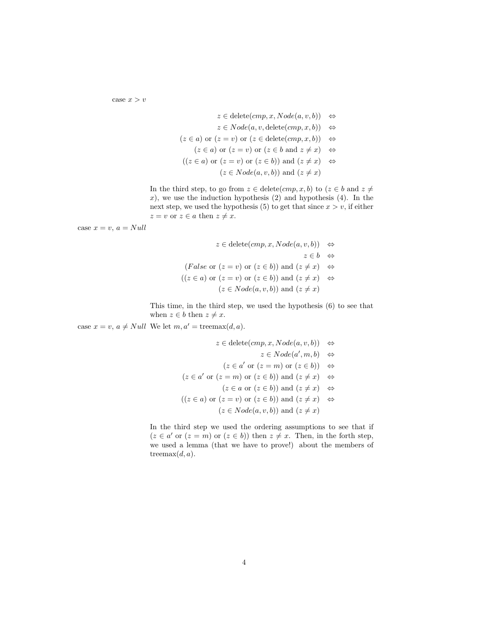case  $x > v$ 

$$
z \in \text{delete}(cmp, x, Node(a, v, b)) \Leftrightarrow
$$
  
\n
$$
z \in Node(a, v, \text{delete}(cmp, x, b)) \Leftrightarrow
$$
  
\n
$$
(z \in a) \text{ or } (z = v) \text{ or } (z \in \text{delete}(cmp, x, b)) \Leftrightarrow
$$
  
\n
$$
(z \in a) \text{ or } (z = v) \text{ or } (z \in b \text{ and } z \neq x) \Leftrightarrow
$$
  
\n
$$
((z \in a) \text{ or } (z = v) \text{ or } (z \in b)) \text{ and } (z \neq x) \Leftrightarrow
$$
  
\n
$$
(z \in Node(a, v, b)) \text{ and } (z \neq x)
$$

In the third step, to go from  $z \in \text{delete}(cmp, x, b)$  to  $(z \in b \text{ and } z \neq b)$  $x$ ), we use the induction hypothesis  $(2)$  and hypothesis  $(4)$ . In the next step, we used the hypothesis (5) to get that since  $x > v$ , if either  $z = v$  or  $z \in a$  then  $z \neq x$ .

case  $x = v$ ,  $a = Null$ 

$$
z \in \text{delete}(cmp, x, Node(a, v, b)) \Leftrightarrow
$$
  
\n
$$
z \in b \Leftrightarrow
$$
  
\n
$$
(False \text{ or } (z = v) \text{ or } (z \in b)) \text{ and } (z \neq x) \Leftrightarrow
$$
  
\n
$$
((z \in a) \text{ or } (z = v) \text{ or } (z \in b)) \text{ and } (z \neq x) \Leftrightarrow
$$
  
\n
$$
(z \in Node(a, v, b)) \text{ and } (z \neq x)
$$

This time, in the third step, we used the hypothesis (6) to see that when  $z \in b$  then  $z \neq x$ .

case  $x = v$ ,  $a \neq Null$  We let  $m, a' = \text{treemax}(d, a)$ .

 $z \in \text{delete}(cmp, x, Node(a, v, b)) \Leftrightarrow$  $z \in Node(a', m, b) \Leftrightarrow$  $(z \in a' \text{ or } (z = m) \text{ or } (z \in b)) \Leftrightarrow$  $(z \in a' \text{ or } (z = m) \text{ or } (z \in b)) \text{ and } (z \neq x) \iff$  $(z \in a$  or  $(z \in b)$  and  $(z \neq x) \Leftrightarrow$  $((z \in a) \text{ or } (z = v) \text{ or } (z \in b)) \text{ and } (z \neq x) \Leftrightarrow$  $(z \in Node(a, v, b))$  and  $(z \neq x)$ 

In the third step we used the ordering assumptions to see that if  $(z \in a'$  or  $(z = m)$  or  $(z \in b)$ ) then  $z \neq x$ . Then, in the forth step, we used a lemma (that we have to prove!) about the members of treemax $(d, a)$ .